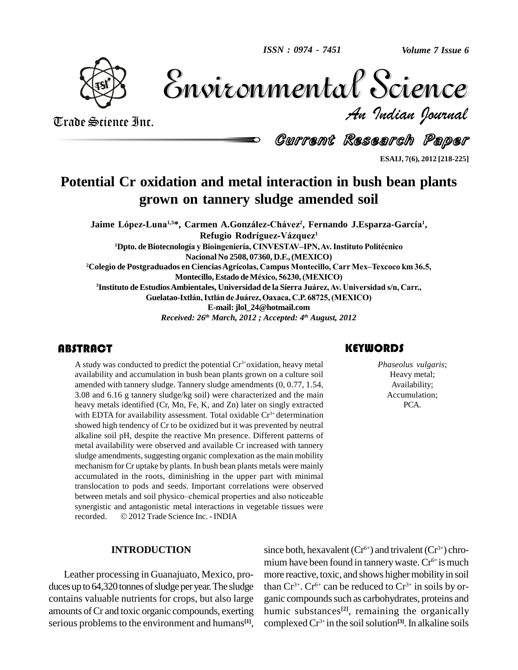

Volume 7 Issue 6 *Indian Journal* Volume 7 Issue 6

Trade Science Inc. Trade Science Inc.

Current Research Paper

**ESAIJ, 7(6), 2012 [218-225]**

# **Potential Cr oxidation and metal interaction in bush bean plants grown on tannery sludge amended soil 11020 EPOWN ON LANNETY SIUAGE AMENAEA SOII<br>Jaime López-Luna<sup>1,3</sup>\*, Carmen A.González-Chávez<sup>2</sup>, Fernando J.Esparza-García<sup>1</sup>,**

men A.González-Chávez<sup>2</sup>, Fernando<br>Refugio Rodríguez-Vázquez<sup>1</sup> Refugio Rodríguez-Vázquez<sup>1</sup> **<sup>1</sup>Dpto. deBiotecnologÌa <sup>y</sup> BioingenierÌa, CINVESTAVñIPN,Av.Instituto PolitÈcnico Nacional No 2508, 07360, D.F.,(MEXICO) <sup>2</sup>Colegio de Postgraduados en CienciasAgrÌcolas, Campus Montecillo, Carr MexñTexcoco km 36.5,** Macional No 2508, 07360, D.F., (MEXICO)<br>Is en Ciencias Agrícolas, Campus Montecillo, Carr Me<br>Montecillo, Estado de México, 56230, (MEXICO) **<sup>3</sup>Instituto deEstudiosAmbientales, Universidad de la Sierra Ju·rez,Av. Universidad s/n, Carr.,** Montecillo, Estado de México, 56230, (MEXICO)<br>studios Ambientales, Universidad de la Sierra Juárez, Av. Universidad s/<br>Guelatao-Ixtlán, Ixtlán de Juárez, Oaxaca, C.P. 68725, (MEXICO) **E-mail: [jlol\\_24@hotmail.com](mailto:jlol_24@hotmail.com)** *Received: 26 th March, 2012 ; Accepted: 4 th August, 2012*

A study was conducted t<br>availability and accumul<br>amended with tannery sl A study was conducted to predict the potential  $Cr^{3+}$ oxidation, heavy metal availability and accumulation in bush bean plants grown on a culture soil amended with tannery sludge. Tannery sludge amendments (0, 0.77, 1.54, 3.08 and 6.16 g tannery sludge/kg soil) were characterized and the main heavy metals identified (Cr, Mn, Fe, K, and Zn) later on singly extracted with EDTA for availability assessment. Total oxidable Cr<sup>3+</sup> determination showed high tendency of Cr to be oxidized but it was prevented by neutral alkaline soil pH, despite the reactive Mn presence. Different patterns of metal availability were observed and available Cr increased with tannery sludge amendments, suggesting organic complexation as the main mobility mechanism for Cr uptake by plants. In bush bean plants metals were mainly accumulated in the roots, diminishing in the upper part with minimal translocation to pods and seeds. Important correlations were observed between metals and soil physico–chemical properties and also noticeable translocation to pods and seeds. Important correlations were observed synergistic and antagonistic metal interactions in vegetable tissues were between metals and soil physico-chemical properties and also noticeable synergistic and antagonistic metal interactions in vegetable tissues were recorded. © 2012 Trade Science Inc. - INDIA

### **INTRODUCTION**

Leather processing in Guanajuato, Mexico, pro duces up to 64,320 tonnes of sludge per year. The sludge contains valuable nutrients for crops, but also large amounts ofCr and toxic organic compounds, exerting serious problems to the environment and humans<sup>[1]</sup>, co

### **KEYWORDS**

Phaseolus vulgar.<br>
Heavy metal;<br>
Availability; *Phaseolus vulgaris*; Heavy metal; Availability; Accumulation; PCA.

since both, hexavalent ( $Cr^{6+}$ ) and trivalent ( $Cr^{3+}$ ) chromium have been found in tannery waste. Cr<sup>6+</sup> is much more reactive, toxic, and shows higher mobility in soil than  $Cr^{3+}$ .  $Cr^{6+}$  can be reduced to  $Cr^{3+}$  in soils by organic compounds such as carbohydrates, proteins and humic substances **[2]**, remaining the organically complexedCr 3+ in the soilsolution **[3]**. In alkaline soils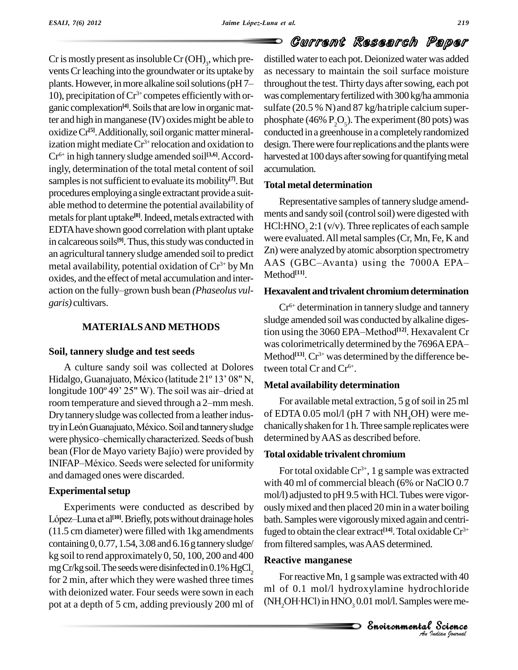Cr is mostly present as insoluble Cr  $(OH)_3$ , which pre-<br>vents Cr leaching into the groundwater or its uptake by<br>plants. However, in more alkaline soil solutions (pH 7– through vents Cr leaching into the groundwater or its uptake by 10), precipitation of  $Cr^{3+}$  competes efficiently with or-<br>ganic complexation<sup>[4]</sup>. Soils that are low in organic matganic complexation<sup>[4]</sup>. Soils that are low in organic matter and high in manganese  $(IV)$  oxides might be able to oxidize Cr<sup>[5]</sup>. Additionally, soil organic matter mineralization might mediate  $Cr^{3+}$  relocation and oxidation to design. Cr 6+ in high tannery sludge amended soil **[3,6]**.Accordingly, determination of the total metal content of soil samples is not sufficient to evaluate its mobility<sup>[7]</sup>. But  $_{\text{T}_0}$ procedures employinga single extractant providea suit able method to determine the potential availability of metals for plant uptake<sup>[8]</sup>. Indeed, metals extracted with EDTAhave shown good correlation with plant uptake in calcareous soils<sup>[9]</sup>. Thus, this study was conducted in  $\Gamma$ an agricultural tannery sludge amended soil to predict  $\frac{\text{ln}}{\text{Area}}$  were analyzed by atomic absorption spectrometry<br>metal availability potential oxidation of  $Cr^{3+}$  by Mn AAS (GBC-Avanta) using the 7000A EPAmetal availability, potential oxidation of Cr<sup>3+</sup> by Mn<br>oxides, and the effect of metal accumulation and inter-<br>action on the fully–grown bush bean *(Phaseolus vul-***Hexav** oxides, and the effect of metal accumulation and inter*garis)* cultivars.

### **MATERIALSAND METHODS**

### **Soil, tannery sludge and test seeds**

A culture sandy soil was collected at Dolores Soil, tannery sludge and test seeds<br>A culture sandy soil was collected at Dolores<br>Hidalgo, Guanajuato, México (latitude 21° 13' 08" N, A culture sandy soil was collected at Dolores<br>Hidalgo, Guanajuato, México (latitude 21° 13' 08" N,<br>longitude 100° 49' 25" W). The soil was air-dried at Met Hidalgo, Guanajuato, México (latitude 21° 13' 08" N,<br>longitude 100° 49' 25" W). The soil was air-dried at<br>room temperature and sieved through a 2-mm mesh. Dry tannery sludge was collected from a leather indusroom temperature and sieved through a 2–mm mesh. For available metal extraction, 5 g of soil in 25 ml<br>Dry tannery sludge was collected from a leather indus-<br>tryin León Guanajuato. México. Soil and tannery sludge chanically Dry tannery sludge was collected from a leather indus-<br>try in León Guanajuato, México. Soil and tannery sludge chanica<br>were physico–chemically characterized. Seeds of bush determ try in León Guanajuato, México. Soil and tannery sludge chanical<br>were physico-chemically characterized. Seeds of bush determ<br>bean (Flor de Mayo variety Bajío) were provided by were physico-chemically characterized. Seeds of bush<br>bean (Flor de Mayo variety Bajío) were provided by<br>INIFAP–México. Seeds were selected for uniformity and damaged ones were discarded.

### **Experimental setup**

Experiments were conducted as described by Experimental setup<br>Experiments were conducted as described by ously<br>López–Luna et al<sup>[10]</sup>. Briefly, pots without drainage holes bath. (11.5 cm diameter) were filled with 1kg amendments containing  $0, 0.77, 1.54, 3.08$  and  $6.16$  g tannery sludge/ kg soil to rend approximately  $0, 50, 100, 200$  and  $400$ mg Cr/kg soil. The seeds were disinfected in  $0.1\%$  HgCl<sub>2</sub> for 2 min, after which they were washed three times with deionized water. Four seeds were sown in each pot at a depth of 5 cm, adding previously 200 ml of

distilled water to each pot. Deionized water was added as necessary to maintain the soil surface moisture throughout the test. Thirty days after sowing, each pot was complementary fertilized with 300 kg/ha ammonia sulfate  $(20.5 % N)$  and  $87 kg/h$ atriple calcium superphosphate (46%  $P_2O_5$ ). The experiment (80 pots) was conducted in a greenhouse in a completely randomized design. There were four replications and the plants were harvested at 100 days after sowing for quantifying metal accumulation.

### **Total metal determination**

Representative samples of tannery sludge amendments and sandy soil (control soil) were digested with HCl:HNO<sub>3</sub> 2:1 (v/v). Three replicates of each sample were evaluated. All metal samples (Cr, Mn, Fe, K and<br>Zn) were analyzed by atomic absorption spectrometry<br>AAS (GBC–Avanta) using the 7000A EPA– Zn) were analyzed by atomic absorption spectrometry Method **[11]**.

### **Hexavalent andtrivalent chromiumdetermination**

Cr 6+ determination in tannery sludge and tannery sludge amended soil was conducted by alkaline diges-Cr<sup>6+</sup> determination in tannery sludge and tannery<br>sludge amended soil was conducted by alkaline diges-<br>tion using the 3060 EPA–Method<sup>[12]</sup>. Hexavalent Cr was colorimetrically determined by the 7696A EPA-Method **[13]**.Cr 3+ was determined by the difference between total  $Cr$  and  $Cr^{6+}$ .

### **Metal availability determination**

For available metal extraction,  $5 \text{ g}$  of soil in 25 ml of EDTA 0.05 mol/l (pH 7 with  $NH<sub>A</sub>OH$ ) were medetermined byAAS as described before.

### **Total oxidable trivalent chromium**

For total oxidable Cr $^{3+}$ , 1 g sample was extracted with 40 ml of commercial bleach (6% or NaClO 0.7 mol/l) adjusted to pH 9.5 with HCl.Tubes were vigor ouslymixed and then placed 20min in a water boiling bath. Samples were vigorously mixed again and centrifuged to obtain the clear extract **[14]**.Total oxidableCr 3+ from filtered samples, was AAS determined.

### **Reactive manganese**

**Indian 140**<br> **I**<br> **I**<br> **Process**<br> **Process**<br> **Process** d with 40<br>chloride<br>science<br>Science For reactive Mn, 1 g sample was extracted with 40 ml of 0.1 mol/l hydroxylamine hydrochloride For reactive Mn, 1 g sample was extracted with 40 ml of 0.1 mol/l hydroxylamine hydrochloride (NH<sub>2</sub>OH·HCl) in HNO<sub>3</sub> 0.01 mol/l. Samples were me-



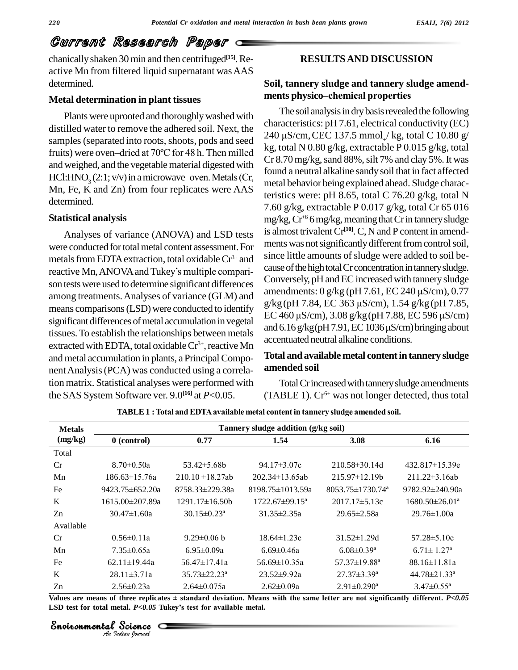chanicallyshaken 30 min and then centrifuged **[15]**.Re active Mn from filtered liquid supernatant was AAS determined.

### **Metal determination in plant tissues**

Plants were uprooted and thoroughly washed with distilled water to remove the adhered soil. Next, the samples (separated into roots, shoots, pods and seed distilled water to remove the adhered soil. Next, the<br>samples (separated into roots, shoots, pods and seed<br>fruits) were oven-dried at 70°C for 48 h. Then milled and weighed, and the vegetablematerial digested with fruits) were oven-dried at 70°C for 48 h. Then milled<br>and weighed, and the vegetable material digested with<br>HCl:HNO<sub>3</sub> (2:1; v/v) in a microwave-oven. Metals (Cr,<br>Mn, Fe, K and Zn) from four replicates were AAS determined.

#### **Statistical analysis**

Analyses of variance (ANOVA) and LSD tests were conducted for total metal content assessment. For metals from EDTA extraction, total oxidable Cr<sup>3+</sup> and <sup>SINCC II</sup> were conducted for total metal content assessment. For metals from EDTA extraction, total oxidable Cr<sup>3+</sup> and sinc<br>reactive Mn, ANOVA and Tukey's multiple comparison tests were used to determine significant differences<br>amendments: 0 g/kg (pH 7.61, EC 240 µS/cm), 0.77<br>amendments: 0 g/kg (pH 7.61, EC 240 µS/cm), 0.77 among treatments.Analyses of variance (GLM) and means comparisons (LSD) were conducted to identify<br> $EC\ 460 \mu S/cm$ ),  $3.08 \frac{g}{kg}$  (pH 7.88, EC 596  $\mu S/cm$ ) significant differences of metal accumulation in vegetal<br>and  $6.16 \frac{\mu}{\pi}$  kg (pH 7.91, EC 1036  $\mu$ S/cm) bringing about tissues.To establish the relationships between metals extracted with EDTA, total oxidable  $Cr^{3+}$ , reactive Mn and metal accumulation in plants, a PrincipalCompo nentAnalysis(PCA) was conducted using a correlation matrix. Statistical analyses were performed with the SAS System Software ver. 9.0 **[16]** at *P*<0.05.

### **RESULTSAND DISCUSSION**

# **Soil, tannery sludge and tannery sludge amend menths**<br>**ments** physico—chemical properties<br>**ments physico—chemical properties**

The soil analysis in dry basis revealed the following characteristics: pH 7.61, electrical conductivity (EC) The soil analysis in dry basis revealed the following<br>characteristics: pH 7.61, electrical conductivity (EC)<br>240  $\mu$ S/cm, CEC 137.5 mmol<sub>+</sub>/ kg, total C 10.80 g/ kg, total N 0.80 g/kg, extractable P 0.015 g/kg, total  $Cr 8.70$  mg/kg, sand  $88\%$ , silt 7% and clay 5%. It was found a neutral alkaline sandy soil that in fact affected metal behavior being explained ahead. Sludge characteristics were: pH 8.65, total C 76.20 g/kg, total N 7.60 g/kg, extractable P 0.017 g/kg, total Cr 65 016 mg/kg, Cr<sup>+6</sup> 6 mg/kg, meaning that Cr in tannery sludge is almost trivalentCr **[10]**.C,N and P content in amend ments was not significantly different from control soil, since little amounts of sludge were added to soil because of the high total Cr concentration in tannery sludge.<br>Conversely, pH and EC increased with tannery sludge<br>amendments: 0 g/kg (pH 7.61, EC 240 µS/cm), 0.77 Conversely, pH and ECincreased with tannery sludge Conversely, pH and EC increased with tannery sludge<br>amendments: 0 g/kg (pH 7.61, EC 240 μS/cm), 0.77<br>g/kg (pH 7.84, EC 363 μS/cm), 1.54 g/kg (pH 7.85, amendments: 0 g/kg (pH 7.61, EC 240 μS/cm), 0.77<br>g/kg (pH 7.84, EC 363 μS/cm), 1.54 g/kg (pH 7.85,<br>EC 460 μS/cm), 3.08 g/kg (pH 7.88, EC 596 μS/cm) g/kg (pH 7.84, EC 363 μS/cm), 1.54 g/kg (pH 7.85,<br>EC 460 μS/cm), 3.08 g/kg (pH 7.88, EC 596 μS/cm)<br>and 6.16 g/kg (pH 7.91, EC 1036 μS/cm) bringing about accentuated neutral alkaline conditions.

### **Total andavailablemetal contentintannery sludge amended soil**

Total Cr increased with tannery sludge amendments (TABLE 1). Cr 6+ was not longer detected, thus total

| <b>Metals</b> | Tannery sludge addition (g/kg soil)                                  |                               |                                                                                                                                   |                                    |                                |  |  |
|---------------|----------------------------------------------------------------------|-------------------------------|-----------------------------------------------------------------------------------------------------------------------------------|------------------------------------|--------------------------------|--|--|
| (mg/kg)       | $0$ (control)                                                        | 0.77                          | 1.54                                                                                                                              | 3.08                               | 6.16                           |  |  |
| Total         |                                                                      |                               |                                                                                                                                   |                                    |                                |  |  |
| Cr            | $8.70 \pm 0.50a$                                                     | $53.42 \pm 5.68b$             | $94.17 \pm 3.07c$                                                                                                                 | $210.58 \pm 30.14$ d               | $432.817 \pm 15.39e$           |  |  |
| Mn            | $186.63 \pm 15.76a$                                                  | $210.10 \pm 18.27$ ab         | $202.34 \pm 13.65$ ab                                                                                                             | $215.97 \pm 12.19 b$               | $211.22 \pm 3.16ab$            |  |  |
| Fe            | $9423.75 \pm 652.20a$                                                | 8758.33±229.38a               | $8198.75 \pm 1013.59a$                                                                                                            | $8053.75 \pm 1730.74$ <sup>a</sup> | $9782.92 \pm 240.90a$          |  |  |
| K             | 1615.00±207.89a                                                      | $1291.17 \pm 16.50b$          | $1722.67 \pm 99.15^a$                                                                                                             | $2017.17 \pm 5.13c$                | $1680.50 \pm 26.01^a$          |  |  |
| Zn            | $30.47 \pm 1.60a$                                                    | $30.15 \pm 0.23$ <sup>a</sup> | $31.35 \pm 2.35a$                                                                                                                 | $29.65 \pm 2.58a$                  | $29.76 \pm 1.00a$              |  |  |
| Available     |                                                                      |                               |                                                                                                                                   |                                    |                                |  |  |
| Cr            | $0.56 \pm 0.11a$                                                     | $9.29 \pm 0.06$ b             | $18.64 \pm 1.23c$                                                                                                                 | $31.52 \pm 1.29$ d                 | $57.28 \pm 5.10e$              |  |  |
| Mn            | $7.35 \pm 0.65a$                                                     | $6.95 \pm 0.09a$              | $6.69 \pm 0.46a$                                                                                                                  | $6.08 \pm 0.39$ <sup>a</sup>       | $6.71 \pm 1.27^{\rm a}$        |  |  |
| Fe            | $62.11 \pm 19.44a$                                                   | $56.47 \pm 17.41a$            | $56.69 \pm 10.35a$                                                                                                                | $57.37 \pm 19.88$ <sup>a</sup>     | $88.16 \pm 11.81a$             |  |  |
| K             | $28.11 \pm 3.71a$                                                    | $35.73 \pm 22.23^{\circ}$     | $23.52 \pm 9.92a$                                                                                                                 | $27.37 \pm 3.39^a$                 | $44.78 \pm 21.33$ <sup>a</sup> |  |  |
| Zn            | $2.56 \pm 0.23a$                                                     | $2.64 \pm 0.075a$             | $2.62 \pm 0.09a$                                                                                                                  | $2.91 \pm 0.290^a$                 | $3.47 \pm 0.55^{\mathrm{a}}$   |  |  |
|               | LSD test for total metal. $P<0.05$ Tukey's test for available metal. |                               | Values are means of three replicates $\pm$ standard deviation. Means with the same letter are not significantly different. P<0.05 |                                    |                                |  |  |
|               | Environmental Science<br>An Indian Nournal                           |                               |                                                                                                                                   |                                    |                                |  |  |

**TABLE1 :Total andEDTAavailable metal contentin tannery sludge amended soil.**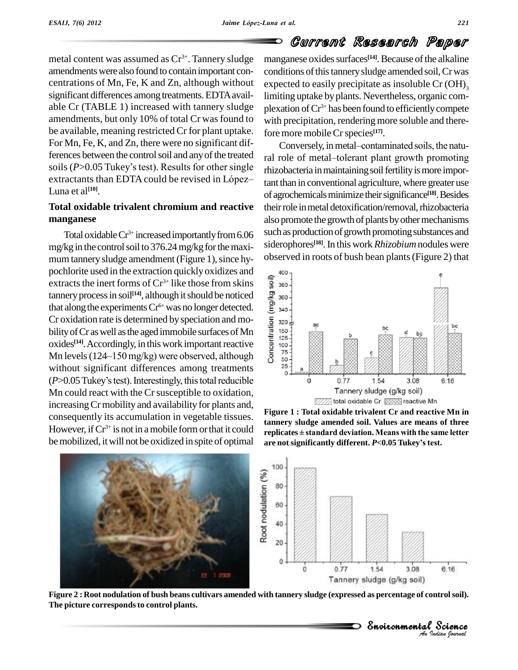O

### Current Research Paper

metal content was assumed as  $Cr^{3+}$ . Tannery sludge mange amendments were also found to contain important concentrations of Mn, Fe, K and Zn, although without significant differences among treatments. EDTA available Cr (TABLE 1) increased with tannery sludge amendments, but only 10% of total Cr was found to be available, meaning restricted Cr for plant uptake. For Mn, Fe, K, and Zn, there were no significant dif-For Mn, Fe, K, and Zn, there were no significant dif-<br>ferences between the control soil and any of the treated<br>ral role of metal-tolerant plant growth promoting For Mn, Fe, K, and Zn, there were no significant differences between the control soil and any of the treated ral ro soils (*P*>0.05 Tukey's test). Results for other single rhizole ferences between the control soil and any of the treated ral role<br>soils (P>0.05 Tukey's test). Results for other single rhizobal<br>extractants than EDTA could be revised in López-<br>tant than Luna et al **[10]**.

### **Total oxidable trivalent chromium and reactive manganese**

Total oxidable  $Cr^{3+}$  increased importantly from  $6.06$  Such as mg/kg in the control soil to  $376.24$  mg/kg for the maximum tannery sludge amendment (Figure 1), since hypochlorite used in the extraction quickly oxidizes and<br>extracts the inert forms of  $Cr^{3+}$  like those from skins<br>tannery process in soil<sup>[14]</sup>, although it should be noticed<br>that along the experiments  $Cr^{6+}$  was no longe extracts the inert forms of  $Cr^{3+}$  like those from skins  $\frac{1}{8}$  380  $\tanh$  tannery process in soil<sup>[14]</sup>, although it should be noticed  $\qquad \mathcal{Q}$   $_{360}$ . that along the experiments  $Cr^{6+}$  was no longer detected. Cr oxidation rate is determined by speciation and mo- $\frac{5}{3}$  320 bility of Cr as well as the aged immobile surfaces of Mn oxides<sup>[14]</sup>. Accordingly, in this work important reactive  $\frac{1}{8}$  <sup>100</sup> bility of Cr as well as the aged immobile surfaces of Mn<br>oxides<sup>[14]</sup>. Accordingly, in this work important reactive<br>Mn levels (124–150 mg/kg) were observed, although without significant differences among treatments  $\frac{25}{3}$ Mn levels (124–150 mg/kg) were observed, although without significant differences among treatments (*P*>0.05 Tukey's test). Interestingly, this total reducible Mn could react with the Cr susceptible to oxidation, increasing Cr mobility and availability for plants and, consequently its accumulation in vegetable tissues. However, if  $Cr^{3+}$  is not in a mobile form or that it could replicat be mobilized, it will not be oxidized in spite of optimal are not significantly different. P<0.05 Tukey's test.

manganese oxides surfaces<sup>[14]</sup>. Because of the alkaline conditions of this tannery sludge amended soil, Cr was expected to easily precipitate as insoluble Cr (OH) 3 limiting uptake byplants. Nevertheless, organic com plexation ofCr 3+ has been found to efficientlycompete with precipitation, rendering more soluble and there-<br>fore more mobile Cr species<sup>[17]</sup>.<br>Conversely, in metal–contaminated soils, the natufore more mobileCrspecies **[17]**.

ral role of metal-tolerant plant growth promoting rhizobacteria in maintaining soil fertility is more important than in conventional agriculture, where greater use of agrochemicals minimize their significance<sup>[18]</sup>. Besides their role in metal detoxification/removal, rhizobacteria also promote the growth of plants by other mechanisms such as production of growth promoting substances and siderophores<sup>[18]</sup>. In this work *Rhizobium* nodules were observed in roots of bush bean plants(Figure 2) that



Figure 1 : Total oxidable trivalent Cr and reactive Mn in<br>tannery sludge amended soil. Values are means of three<br>replicates±standard deviation. Means with the same letter tannery sludge amended soil. Values are means of three<br>replicates±standard deviation. Means with the same letter<br>are not significantly different. P<0.05 Tukey's test.



Figure 2 : Root nodulation of bush beans cultivars amended with tannery sludge (expressed as percentage of control soil). **The picture correspondsto control plants.**

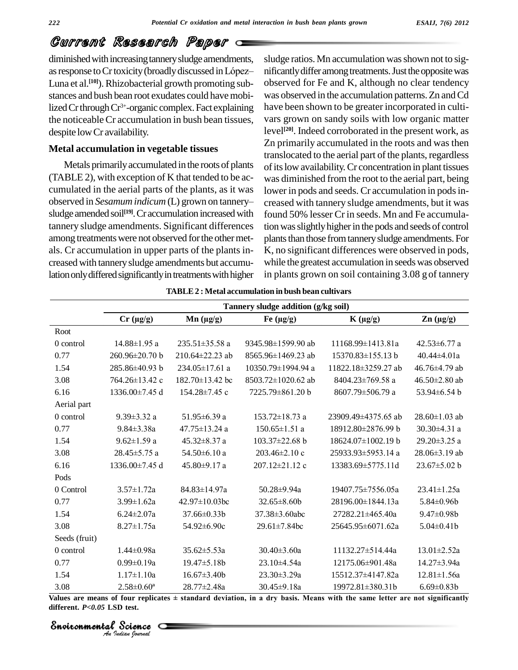diminished with increasing tannery sludge amendments, slu GUITTENIG ISSEEIT GIVE FEIPET<br>diminished with increasing tannery sludge amendments, sludge<br>as response to Cr toxicity (broadly discussed in López— nificant Luna et al.<sup>[10]</sup>). Rhizobacterial growth promoting sub- obs stances and bush bean root exudates could have mobilized Cr through Cr<sup>3+</sup>-organic complex. Fact explaining have be the noticeableCr accumulation in bush bean tissues, despite lowCr availability.

### **Metal accumulation in vegetable tissues**

Metals primarily accumulated in the roots of plants (TABLE 2), with exception of K that tended to be ac cumulated in the aerial parts of the plants, as it was lowe (TABLE 2), with exception of K that tended to be ac-<br>cumulated in the aerial parts of the plants, as it was lower i<br>observed in *Sesamum indicum* (L) grown on tannerysludge amended soil<sup>[19]</sup>. Cr accumulation increased with found: tannery sludge amendments. Significant differences among treatments were not observed for the other metals. Cr accumulation in upper parts of the plants in creasedwith tannerysludge amendments but accumulation only differed significantly in treatments with higher

sludge ratios. Mn accumulation was shown not to significantly differ among treatments. Just the opposite was observed for Fe and K, although no clear tendency was observed in the accumulation patterns. Zn and Cd have been shown to be greater incorporated in culti vars grown on sandy soils with low organic matter level **[20]**. Indeed corroborated in the present work, as Zn primarily accumulated in the roots and was then translocated to the aerial part of the plants, regardless of its low availability. Cr concentration in plant tissues was diminished from the root to the aerial part, being lower in pods and seeds. Cr accumulation in pods increased with tannery sludge amendments, but it was found 50% lesser Crin seeds. Mn and Fe accumulation was slightly higher in the pods and seeds of control plants than those from tannery sludge amendments. For K, no significant differences were observed in pods, while the greatest accumulation in seeds was observed in plants grown on soil containing 3.08 g of tannery

|               |                    | Tannery sludge addition (g/kg soil) |                      |                          |                     |  |
|---------------|--------------------|-------------------------------------|----------------------|--------------------------|---------------------|--|
|               | $Cr (\mu g/g)$     | $Mn (\mu g/g)$                      | Fe $(\mu g/g)$       | $K(\mu g/g)$             | $\text{Zn}$ (µg/g)  |  |
| Root          |                    |                                     |                      |                          |                     |  |
| 0 control     | 14.88±1.95 a       | $235.51 \pm 35.58$ a                | 9345.98±1599.90 ab   | 11168.99±1413.81a        | $42.53 \pm 6.77$ a  |  |
| 0.77          | 260.96±20.70 b     | 210.64±22.23 ab                     | 8565.96±1469.23 ab   | 15370.83±155.13 b        | $40.44 \pm 4.01a$   |  |
| 1.54          | 285.86±40.93 b     | 234.05±17.61 a                      | 10350.79±1994.94 a   | 11822.18±3259.27 ab      | 46.76±4.79 ab       |  |
| 3.08          | 764.26±13.42 c     | $182.70\pm13.42$ bc                 | 8503.72±1020.62 ab   | $8404.23 \pm 769.58$ a   | 46.50 $\pm$ 2.80 ab |  |
| 6.16          | 1336.00±7.45 d     | $154.28 \pm 7.45$ c                 | 7225.79±861.20 b     | 8607.79±506.79 a         | 53.94±6.54 b        |  |
| Aerial part   |                    |                                     |                      |                          |                     |  |
| 0 control     | $9.39 \pm 3.32$ a  | $51.95 \pm 6.39$ a                  | $153.72 \pm 18.73$ a | 23909.49±4375.65 ab      | $28.60 \pm 1.03$ ab |  |
| 0.77          | $9.84 \pm 3.38a$   | 47.75±13.24 a                       | $150.65 \pm 1.51$ a  | 18912.80±2876.99 b       | 30.30±4.31 a        |  |
| 1.54          | $9.62 \pm 1.59$ a  | $45.32 \pm 8.37$ a                  | $103.37 \pm 22.68$ b | $18624.07 \pm 1002.19$ b | 29.20 $\pm$ 3.25 a  |  |
| 3.08          | $28.45 \pm 5.75$ a | $54.50\pm6.10$ a                    | $203.46 \pm 2.10$ c  | 25933.93±5953.14 a       | $28.06 \pm 3.19$ ab |  |
| 6.16          | 1336.00±7.45 d     | 45.80±9.17 a                        | 207.12±21.12 c       | 13383.69±5775.11d        | $23.67 \pm 5.02$ b  |  |
| Pods          |                    |                                     |                      |                          |                     |  |
| 0 Control     | $3.57 \pm 1.72a$   | 84.83±14.97a                        | 50.28±9.94a          | 19407.75±7556.05a        | $23.41 \pm 1.25a$   |  |
| 0.77          | $3.99 \pm 1.62a$   | 42.97±10.03bc                       | 32.65±8.60b          | 28196.00±1844.13a        | $5.84 \pm 0.96$     |  |
| 1.54          | $6.24 \pm 2.07a$   | $37.66\pm0.33h$                     | $37.38 \pm 3.60$ abc | 27282.21±465.40a         | $9.47 \pm 0.98$     |  |
| 3.08          | $8.27 \pm 1.75a$   | 54.92±6.90c                         | $29.61 \pm 7.84$ bc  | 25645.95±6071.62a        | $5.04 \pm 0.41$     |  |
| Seeds (fruit) |                    |                                     |                      |                          |                     |  |
| 0 control     | $1.44 \pm 0.98a$   | $35.62 \pm 5.53a$                   | $30.40 \pm 3.60a$    | $11132.27 \pm 514.44a$   | $13.01 \pm 2.52a$   |  |
| 0.77          | $0.99 \pm 0.19a$   | 19.47±5.18b                         | 23.10±4.54a          | 12175.06±901.48a         | 14.27±3.94a         |  |
| 1.54          | $1.17 \pm 1.10a$   | $16.67 \pm 3.40b$                   | $23.30 \pm 3.29a$    | 15512.37±4147.82a        | $12.81 \pm 1.56a$   |  |
| 3.08          | $2.58 \pm 0.60^a$  | 28.77±2.48a                         | $30.45 \pm 9.18a$    | $19972.81 \pm 380.31$ b  | $6.69 \pm 0.83b$    |  |

**TABLE2 : Metal accumulation in bush bean cultivars**

*Indian Journal*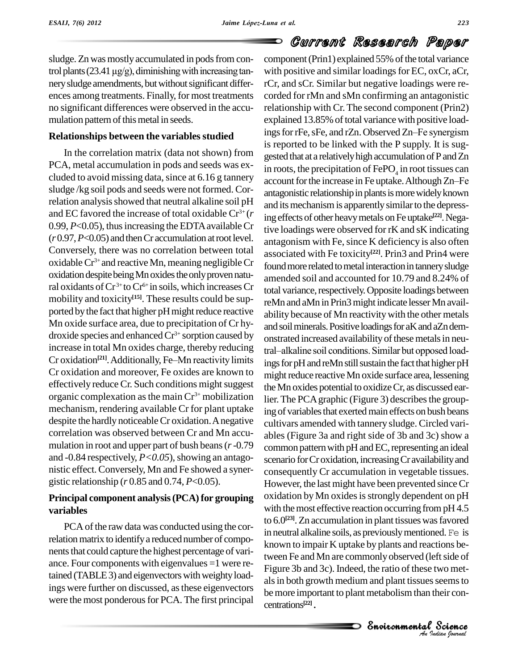sludge. Zn was mostly accumulated in pods from consludge. Zn was mostly accumulated in pods from concom-<br>trol plants (23.41  $\mu$ g/g), diminishing with increasing tan-<br>with nery sludge amendments, but without significant differences among treatments. Finally, for most treatments no significant differences were observed in the accu mulation pattern of this metal in seeds.

In the correlation matrix (data not shown) from PCA, metal accumulation in pods and seeds was ex cluded to avoid missing data, since at  $6.16$  g tannery  $\frac{1}{\text{account}}$  for the increase in Fe uptake. Although Zn–Fe sludge /kg soil pods and seeds were not formed. Correlation analysis showed that neutral alkaline soil pH and EC favored the increase of total oxidable  $Cr^{3+}(r)$  in  $\sigma$ 0.99,  $P<0.05$ ), thus increasing the EDTA available Cr  $(r 0.97, P<0.05)$  and then Cr accumulation at root level. Conversely, there was no correlation between total oxidable  $Cr^{3+}$  and reactive Mn, meaning negligible  $Cr_{form}$ oxidation despite being Mn oxides the only proven natural oxidants of Cr<sup>3+</sup> to Cr<sup>6+</sup> in soils, which increases Cr<sub>tota</sub> mobility and toxicity<sup>[15]</sup>. These results could be supported by the fact that higher pH might reduce reactive Mn oxide surface area, due to precipitation of Cr hy droxide species and enhanced Cr<sup>3+</sup> sorption caused by<br>increase in total Mn oxides charge, thereby reducing<br>Cr oxidation<sup>[21]</sup>. Additionally, Fe–Mn reactivity limits<br>inos for increase in total Mn oxides charge, thereby reducing Cr oxidation<sup>[21]</sup>. Additionally, Fe-Mn reactivity limits Cr oxidation and moreover, Fe oxides are known to effectively reduce Cr. Such conditions might suggest organic complexation as the main  $Cr^{3+}$  mobilization lier. Th mechanism, rendering available Cr for plant uptake despite the hardly noticeableCr oxidation.Anegative correlation was observed between Crand Mn accu mulation in root and upper part of bush beans(*r*-0.79 and  $-0.84$  respectively,  $P < 0.05$ ), showing an antagonistic effect.Conversely, Mn and Fe showed a syner gistic relationship (*r* 0.85 and 0.74, *P*<0.05).

### **Principal component analysis(PCA)for grouping variables**

PCA of the raw data was conducted using the correlation matrix to identify a reduced number of components that could capture the highest percentage of variance. Four components with eigenvalues =1 were retained (TABLE 3) and eigenvectors with weighty loadings were further on discussed, asthese eigenvectors were the most ponderous for PCA. The first principal

## Current Research Paper

*A* Figure 3b and 3c). Indeed, the ratio of these two met-*I* two met-<br>*S* seems to<br>their con-<br><br>*Padian lournal* tween Fe and Mn are commonly observed (left side of ft side of<br>wo met-<br>seems to<br>heir con-<br>**Science Relationships between the variables studied** ings for rFe, sFe, and rZn. Observed Zn–Fe synergism component (Prin1) explained 55% of the total variance with positive and similar loadings for EC, oxCr, aCr, rCr, and sCr.Similar but negative loadings were re corded for rMn and sMn confirming an antagonistic relationship with Cr. The second component (Prin2)<br>explained 13.85% of total variance with positive load-<br>ings for rFe, sFe, and rZn. Observed Zn–Fe synergism explained 13.85% of total variance with positive loadis reported to be linked with the P supply. It is sug gested that at a relativelyhigh accumulation ofPandZn in roots, the precipitation of  $\text{FePO}_4$  in root tissues can gested that at a relatively high accumulation of P and Zn<br>in roots, the precipitation of FePO<sub>4</sub> in root tissues can<br>account for the increase in Fe uptake. Although Zn–Fe antagonistic relationship in plants is more widely known and its mechanism is apparently similar to the depressing effects of other heavymetals onFe uptake **[22]**.Negative loadings were observed for rK and sK indicating antagonism with Fe, since K deficiency is also often associated with Fe toxicity **[22]**. Prin3 and Prin4 were found more related to metal interaction in tannery sludge amended soiland accounted for 10.79 and 8.24% of total variance, respectively. Opposite loadings between reMn and aMn in Prin3 might indicate lesser Mn availability because of Mn reactivity with the other metals and soil minerals. Positive loadings for aK and aZn demonstrated increased availability of these metals in neutral–alkaline soil conditions. Similar but opposed loadings for pH and reMn still sustain the fact that higher pH might reduce reactive Mn oxide surface area, lessening theMn oxides potential to oxidizeCr, as discussed earlier. The PCA graphic (Figure 3) describes the grouping of variables that exerted main effects on bush beans cultivars amended with tannery sludge. Circled vari ables (Figure 3a and right side of 3b and 3c) show a common pattern with pH and EC, representing an ideal scenario for Cr oxidation, increasing Cr availability and consequently Craccumulation in vegetable tissues. However, the last might have been prevented since Cr oxidation byMn oxidesisstrongly dependent on pH with the most effective reaction occurring from pH4.5 to 6.0 **[23]**.Zn accumulation in plant tissueswasfavored in neutral alkaline soils, as previouslymentioned.Fe is known to impair K uptake by plants and reactions beals in both growth medium and plant tissues seems to be more important to plant metabolism than their concentrations **[22]**.

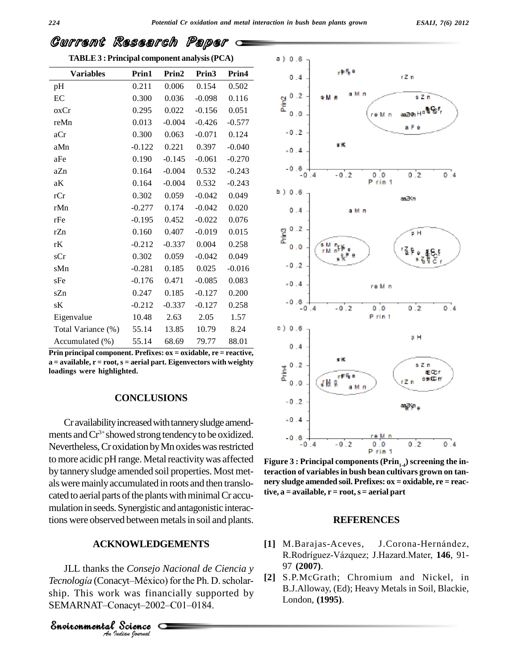**TABLE3 : Principal component analysis(PCA)**

| <b>Variables</b>         | Prin1      | Prin2    | Prin3    | Prin4    |
|--------------------------|------------|----------|----------|----------|
| pH                       | 0.211      | 0.006    | 0.154    | 0.502    |
| EC                       | 0.300      | 0.036    | $-0.098$ | 0.116    |
| oxCr                     | 0.295      | 0.022    | $-0.156$ | 0.051    |
| reMn                     | 0.013      | $-0.004$ | $-0.426$ | $-0.577$ |
| aCr                      | 0.300      | 0.063    | $-0.071$ | 0.124    |
| aMn                      | $-0.122$   | 0.221    | 0.397    | $-0.040$ |
| $\rm aFe$                | 0.190      | $-0.145$ | $-0.061$ | $-0.270$ |
| aZn                      | 0.164      | $-0.004$ | 0.532    | $-0.243$ |
| aK                       | 0.164      | $-0.004$ | 0.532    | $-0.243$ |
| rCr                      | 0.302      | 0.059    | $-0.042$ | 0.049    |
| rMn                      | $-0.277$   | 0.174    | $-0.042$ | 0.020    |
| rFe                      | $-0.195$   | 0.452    | $-0.022$ | 0.076    |
| rZn                      | 0.160      | 0.407    | $-0.019$ | 0.015    |
| rK                       | $-0.212$   | $-0.337$ | 0.004    | 0.258    |
| sCr                      | 0.302      | 0.059    | $-0.042$ | 0.049    |
| sMn                      | $-0.281$   | 0.185    | 0.025    | $-0.016$ |
| sFe                      | $-0.176$   | 0.471    | $-0.085$ | 0.083    |
| sZn                      | 0.247      | 0.185    | $-0.127$ | 0.200    |
| sК                       | $-0.212$   | $-0.337$ | $-0.127$ | 0.258    |
| Eigenvalue               | 10.48 2.63 |          | 2.05     | 1.57     |
| Total Variance (%) 55.14 |            | 13.85    | 10.79    | 8.24     |
| Accumulated (%)          | 55.14      | 68.69    | 79.77    | 88.01    |

**Prin principal component. Prefixes: ox = oxidable, re = reactive, a** = **available, r** = **root, s** = **aerial** part. Eigenvectors with weighty<br>**loadings** were highlighted. **loadings were highlighted.**

### **CONCLUSIONS**

Cr availability increased with tannery sludge amendments andCr 3+ showed strong tendencyto be oxidized. Nevertheless, Croxidation by Mn oxides was restricted to more acidic pH range. Metal reactivity was affected by tannerysludge amended soil properties. Most met alsweremainlyaccumulated in roots and then translo cated to aerial parts of the plants with minimal Cr accumulation in seeds.Synergistic and antagonistic interactions were observed between metals in soil and plants.

### **ACKNOWLEDGEMENTS**

*Andre Consejo Nau*<br>*Tecnologia* (Conacyt–México) fo<br>*Angle This work was financi*<br>*SEMARNAT–Conacyt–2002–C*<br>*Snoitonmental Science SEMARNAT*-Conacyt-2002-C01-0184.<br> *Snoiconmental Science*<br> *An Indian Journal* JLL thanks the *Consejo Nacional de Ciencia y TEXTER TEC TEC TEC TEC TECNOLOGIA* (Conacyt–México) for the Ph. D. scholar- [2] ship. This work was financially supported by Tecnología (Conacyt–México) for the Ph. D. schip. This work was financially supporte<br>SEMARNAT–Conacyt–2002–C01–0184.



**Figure 3 : Principal components (Prin1-4) screening the interaction of variablesin bush bean cultivars grown on tan nery sludge amended soil. Prefixes: ox = oxidable, re = reac** $t$ **ive,**  $a =$  **available,**  $r =$  **root,**  $s =$  **aerial** part

#### **REFERENCES**

- [1] M.Barajas-Aceves, J.Corona-Hernández, R.Rodríguez-Vázquez; J.Hazard.Mater, 146, 91-97 **(2007)**.
- **[2]** S.P.McGrath; Chromium and Nickel, in B.J.Alloway, (Ed); Heavy Metals in Soil, Blackie, London, **(1995)**.